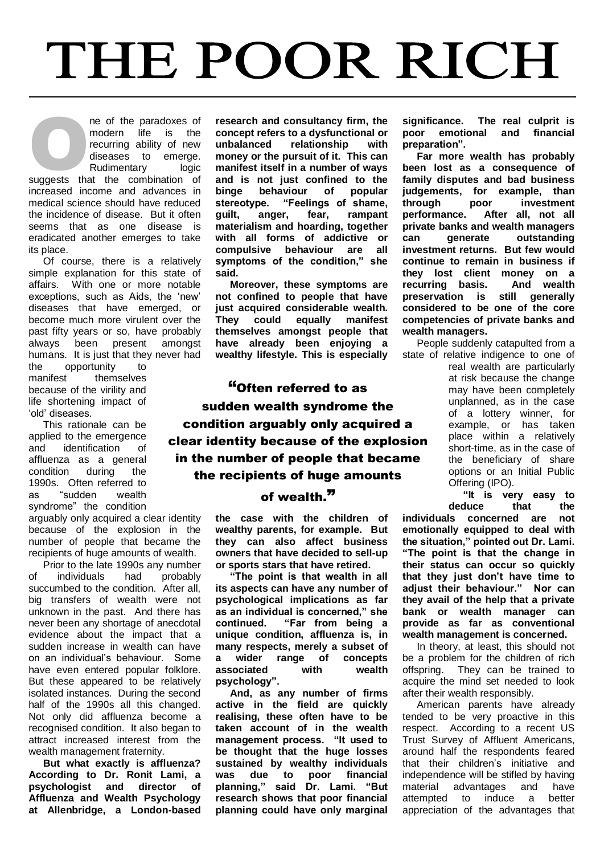## THE POOR RICH

ne of the paradoxes of modern life is the recurring ability of new diseases to emerge. Rudimentary logic ne of the paradoxes of<br>
modern life is the<br>
recurring ability of new<br>
diseases to emerge.<br>
Rudimentary logic<br>
suggests that the combination of increased income and advances in medical science should have reduced the incidence of disease. But it often seems that as one disease is eradicated another emerges to take its place.

Of course, there is a relatively simple explanation for this state of affairs. With one or more notable exceptions, such as Aids, the 'new' diseases that have emerged, or become much more virulent over the past fifty years or so, have probably always been present amongst humans. It is just that they never had

the opportunity to manifest themselves because of the virility and life shortening impact of 'old' diseases.

This rationale can be applied to the emergence and identification of affluenza as a general<br>condition during the condition during the 1990s. Often referred to as "sudden wealth syndrome" the condition

arguably only acquired a clear identity because of the explosion in the number of people that became the recipients of huge amounts of wealth.

Prior to the late 1990s any number of individuals had probably succumbed to the condition. After all. big transfers of wealth were not unknown in the past. And there has never been any shortage of anecdotal evidence about the impact that a sudden increase in wealth can have on an individual's behaviour. Some have even entered popular folklore. But these appeared to be relatively isolated instances. During the second half of the 1990s all this changed. Not only did affluenza become a recognised condition. It also began to attract increased interest from the wealth management fraternity.

**But what exactly is affluenza? According to Dr. Ronit Lami, a psychologist and director of Affluenza and Wealth Psychology at Allenbridge, a London-based**  **research and consultancy firm, the concept refers to a dysfunctional or unbalanced relationship with money or the pursuit of it. This can manifest itself in a number of ways and is not just confined to the binge behaviour of popular stereotype. "Feelings of shame, guilt, anger, fear, rampant materialism and hoarding, together with all forms of addictive or compulsive behaviour are all symptoms of the condition," she said.**

**Moreover, these symptoms are not confined to people that have just acquired considerable wealth. They could equally manifest themselves amongst people that have already been enjoying a wealthy lifestyle. This is especially** 

"Often referred to as sudden wealth syndrome the condition arguably only acquired a clear identity because of the explosion in the number of people that became the recipients of huge amounts

## of wealth."

**the case with the children of wealthy parents, for example. But they can also affect business owners that have decided to sell-up or sports stars that have retired.**

**"The point is that wealth in all its aspects can have any number of psychological implications as far as an individual is concerned," she continued. "Far from being a unique condition, affluenza is, in many respects, merely a subset of a wider range of concepts associated with wealth psychology".**

**And, as any number of firms active in the field are quickly realising, these often have to be taken account of in the wealth management process. "It used to be thought that the huge losses sustained by wealthy individuals was due to poor financial planning," said Dr. Lami. "But research shows that poor financial planning could have only marginal** 

**significance. The real culprit is poor emotional and financial preparation".**

**Far more wealth has probably been lost as a consequence of family disputes and bad business judgements, for example, than through poor investment performance. After all, not all private banks and wealth managers can generate outstanding investment returns. But few would continue to remain in business if they lost client money on a recurring basis. And wealth preservation is still generally considered to be one of the core competencies of private banks and wealth managers.**

People suddenly catapulted from a state of relative indigence to one of

real wealth are particularly at risk because the change may have been completely unplanned, as in the case of a lottery winner, for example, or has taken place within a relatively short-time, as in the case of the beneficiary of share options or an Initial Public Offering (IPO).

**"It is very easy to deduce that the** 

**individuals concerned are not emotionally equipped to deal with the situation," pointed out Dr. Lami. "The point is that the change in their status can occur so quickly that they just don't have time to adjust their behaviour." Nor can they avail of the help that a private bank or wealth manager can provide as far as conventional wealth management is concerned.**

In theory, at least, this should not be a problem for the children of rich offspring. They can be trained to acquire the mind set needed to look after their wealth responsibly.

American parents have already tended to be very proactive in this respect. According to a recent US Trust Survey of Affluent Americans, around half the respondents feared that their children's initiative and independence will be stifled by having material advantages and have attempted to induce a better appreciation of the advantages that